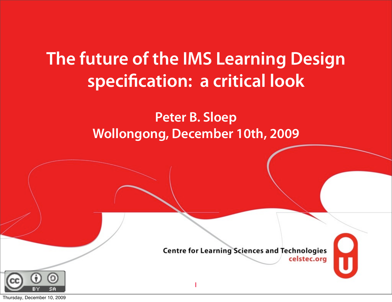### **The future of the IMS Learning Design specification: a critical look**

#### **Peter B. Sloep Wollongong, December 10th, 2009**

1

**Centre for Learning Sciences and Technologies** celstec.org



Thursday, December 10, 2009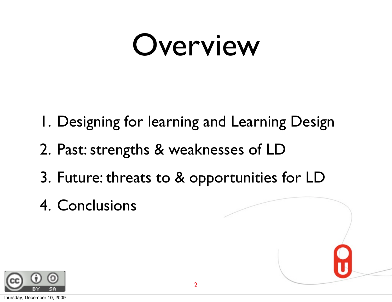### Overview

- Past & Future 1. Designing for learning and Learning Design
- 2. Past: strengths & weaknesses of LD
- $\mathbf{f}$ vs 3. Future: threats to & opportunities for LD
- <u>Conclus</u> 4. Conclusions

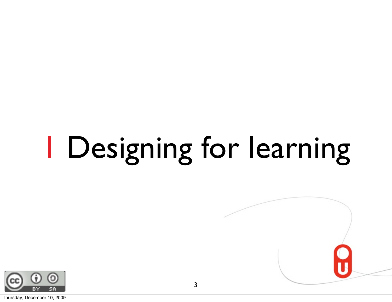# 1 Designing for learning

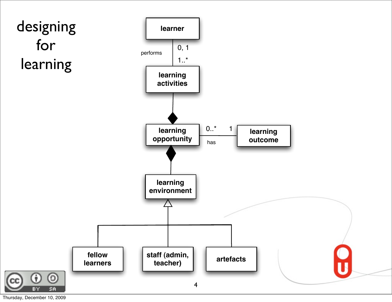

Thursday, December 10, 2009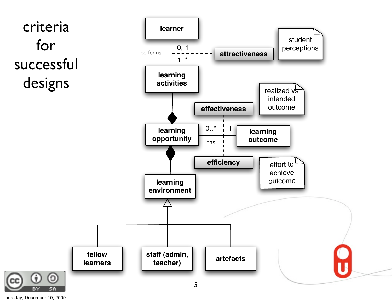

Thursday, December 10, 2009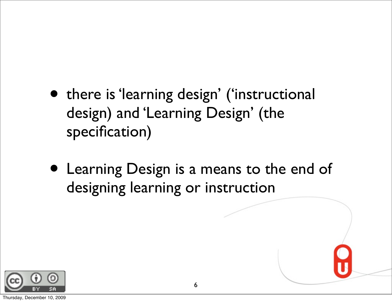- there is 'learning design' ('instructional design) and 'Learning Design' (the specification)
- Learning Design is a means to the end of designing learning or instruction

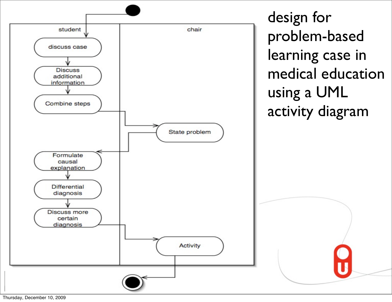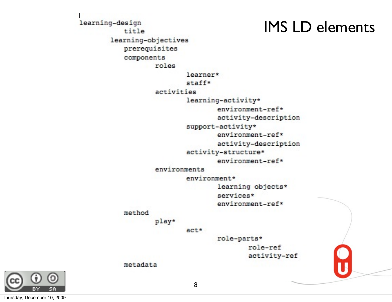#### IMS LD elements

learning-design title learning-objectives prerequisites components roles learner\* staff\* activities learning-activity\* environment-ref\* activity-description support-activity\* environment-ref\* activity-description activity-structure\* environment-ref\* environments environment\* learning objects\* services\* environment-ref\* method play\*  $act*$ role-parts\* role-ref activity-ref metadata

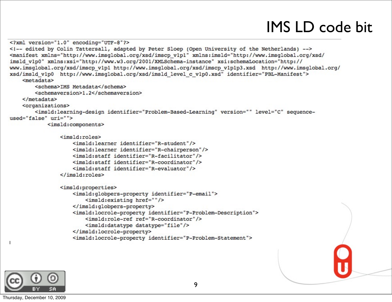#### IMS LD code bit

```
<?xml version="1.0" encoding="UTF-8"?>
<!-- edited by Colin Tattersall, adapted by Peter Sloep (Open University of the Netherlands) -->
<manifest xmlns="http://www.imsglobal.org/xsd/imscp v1p1" xmlns:imsld="http://www.imsglobal.org/xsd/
imsld v1p0" xmlns:xsi="http://www.w3.org/2001/XMLSchema-instance" xsi:schemaLocation="http://
www.imsglobal.org/xsd/imscp v1p1 http://www.imsglobal.org/xsd/imscp v1p1p3.xsd http://www.imsglobal.org/
xsd/imsld v1p0 http://www.imsglobal.org/xsd/imsld level c v1p0.xsd" identifier="PBL-Manifest">
    <metadata>
        <schema>IMS Metadata</schema>
        <schemaversion>1.2</schemaversion>
    </metadata>
    <organizations>
        <imsld:learning-design identifier="Problem-Based-Learning" version="" level="C" sequence-
used="false" uri="">
            <imsld:components>
                <imsld:roles>
                    <imsld:learner identifier="R-student"/>
                    <imsld:learner identifier="R-chairperson"/>
                    <imsld:staff identifier="R-facilitator"/>
                    <imsld:staff identifier="R-coordinator"/>
                    <imsld:staff identifier="R-evaluator"/>
                \langle/imsld:roles>
                <imsld:properties>
                    <imsld:globpers-property identifier="P-email">
                        <imsld:existing href=""/>
                    </imsld:globpers-property>
                    <imsld:locrole-property identifier="P-Problem-Description">
                        <imsld:role-ref ref="R-coordinator"/>
                        <imsld:datatype datatype="file"/>
                    </imsld:locrole-property>
                    <imsld:locrole-property identifier="P-Problem-Statement">
```
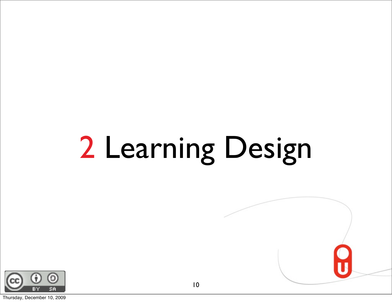# 2 Learning Design



Thursday, December 10, 2009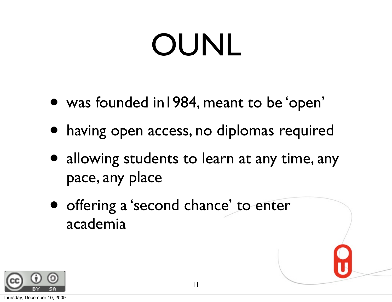## OUNL

- was founded in1984, meant to be 'open'
- having open access, no diplomas required
- allowing students to learn at any time, any pace, any place
- offering a 'second chance' to enter academia

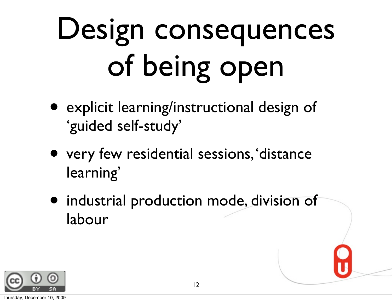# Design consequences of being open

- explicit learning/instructional design of 'guided self-study'
- very few residential sessions, 'distance learning'
- industrial production mode, division of labour

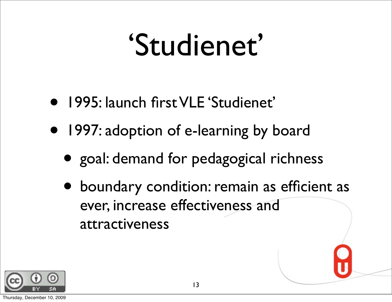### 'Studienet'

- 1995: launch first VLE 'Studienet'
- 1997: adoption of e-learning by board
	- goal: demand for pedagogical richness
	- boundary condition: remain as efficient as ever, increase effectiveness and attractiveness

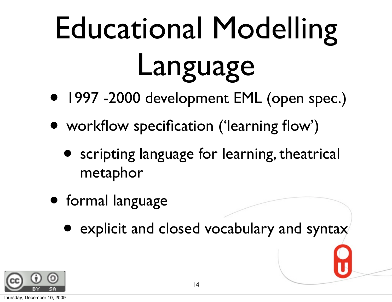# Educational Modelling Language

- 1997 -2000 development EML (open spec.)
- workflow specification ('learning flow')
	- **•** scripting language for learning, theatrical metaphor
- formal language
	- explicit and closed vocabulary and syntax

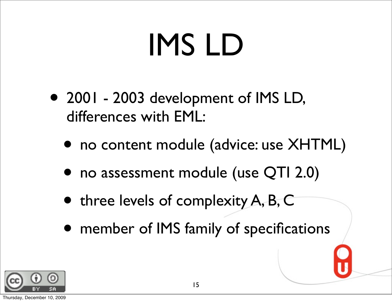## IMS LD

- 2001 2003 development of IMS LD, differences with EML:
	- no content module (advice: use XHTML)
	- no assessment module (use QTI 2.0)
	- three levels of complexity A, B, C
	- member of IMS family of specifications

15

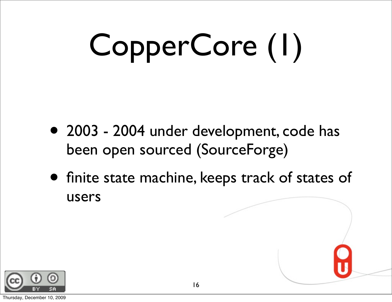# CopperCore (1)

- 2003 2004 under development, code has been open sourced (SourceForge)
- finite state machine, keeps track of states of users

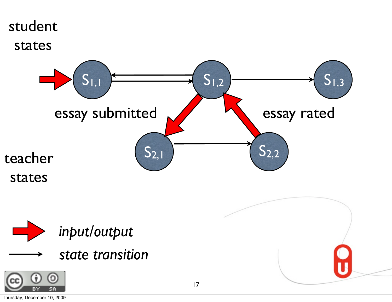

Thursday, December 10, 2009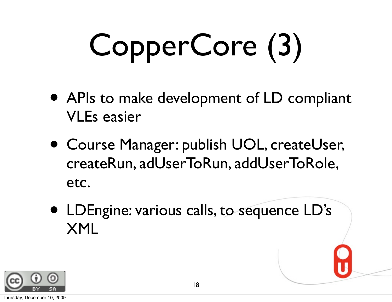# CopperCore (3)

- APIs to make development of LD compliant VLEs easier
- Course Manager: publish UOL, createUser, createRun, adUserToRun, addUserToRole, etc.
- LDEngine: various calls, to sequence LD's XML

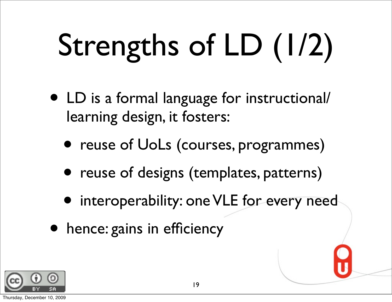# Strengths of LD (1/2)

- LD is a formal language for instructional/ learning design, it fosters:
	- reuse of UoLs (courses, programmes)
	- reuse of designs (templates, patterns)
	- interoperability: one VLE for every need
- hence: gains in efficiency

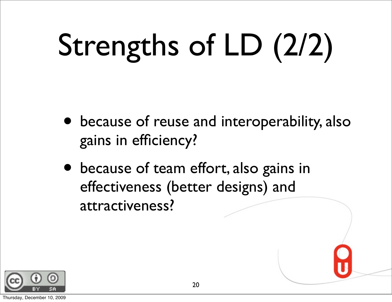# Strengths of LD (2/2)

- because of reuse and interoperability, also gains in efficiency?
- because of team effort, also gains in effectiveness (better designs) and attractiveness?

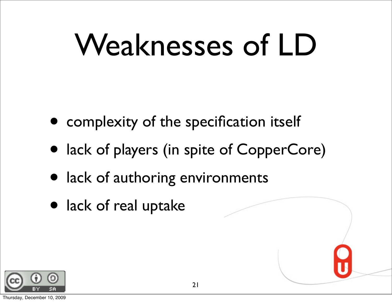## Weaknesses of LD

- complexity of the specification itself
- lack of players (in spite of CopperCore)
- lack of authoring environments
- lack of real uptake

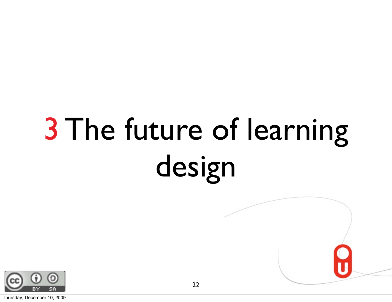## 3 The future of learning design

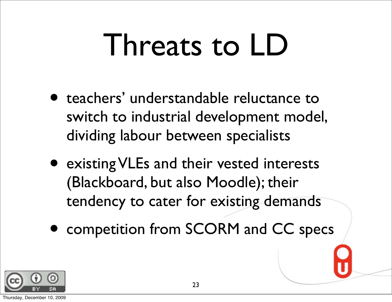## Threats to LD

- teachers' understandable reluctance to switch to industrial development model, dividing labour between specialists
- existing VLEs and their vested interests (Blackboard, but also Moodle); their tendency to cater for existing demands
- competition from SCORM and CC specs

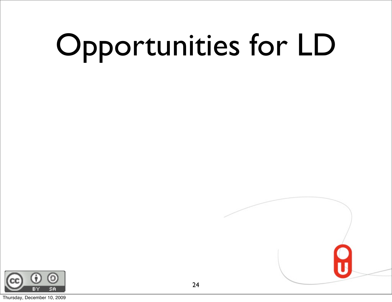# Opportunities for LD



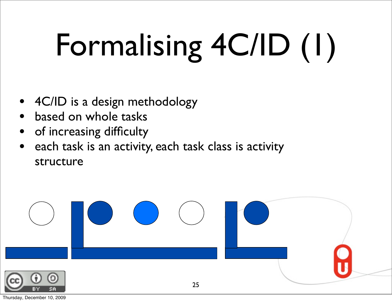# Formalising 4C/ID (1)

- 4C/ID is a design methodology
- based on whole tasks
- of increasing difficulty
- each task is an activity, each task class is activity structure



Thursday, December 10, 2009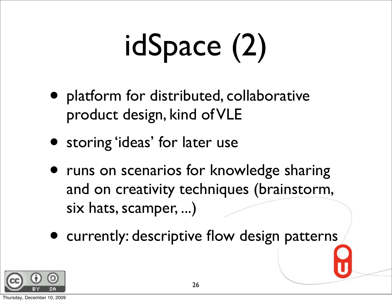# idSpace (2)

- platform for distributed, collaborative product design, kind of VLE
- storing 'ideas' for later use
- runs on scenarios for knowledge sharing and on creativity techniques (brainstorm, six hats, scamper, ...)
- currently: descriptive flow design patterns

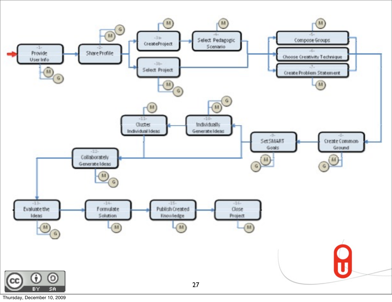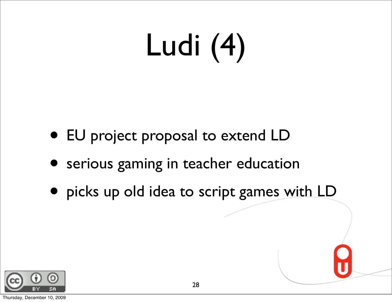# Ludi (4)

- EU project proposal to extend LD
- serious gaming in teacher education
- picks up old idea to script games with LD

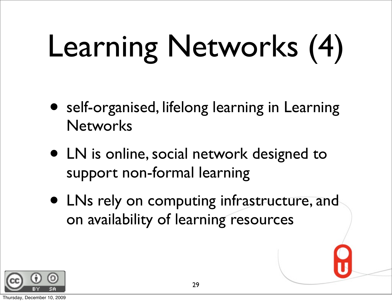# Learning Networks (4)

- self-organised, lifelong learning in Learning **Networks**
- LN is online, social network designed to support non-formal learning
- LNs rely on computing infrastructure, and on availability of learning resources

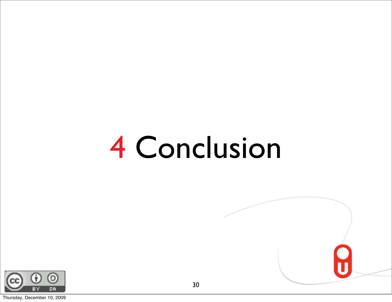### 4 Conclusion



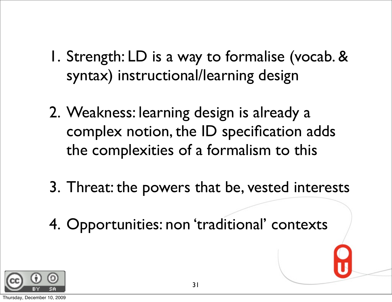- 1. Strength: LD is a way to formalise (vocab. & syntax) instructional/learning design
- 2. Weakness: learning design is already a complex notion, the ID specification adds the complexities of a formalism to this
- 3. Threat: the powers that be, vested interests
- 4. Opportunities: non 'traditional' contexts

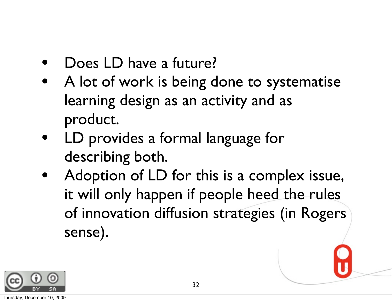- Does LD have a future?
- A lot of work is being done to systematise learning design as an activity and as product.
- LD provides a formal language for describing both.
- Adoption of LD for this is a complex issue, it will only happen if people heed the rules of innovation diffusion strategies (in Rogers sense).

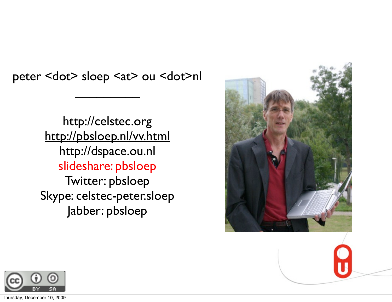peter <dot> sloep <at> ou <dot>nl

 $\frac{1}{2}$ 

http://celstec.org <http://pbsloep.nl/vv.html> http://dspace.ou.nl slideshare: pbsloep Twitter: pbsloep Skype: celstec-peter.sloep Jabber: pbsloep





Thursday, December 10, 2009